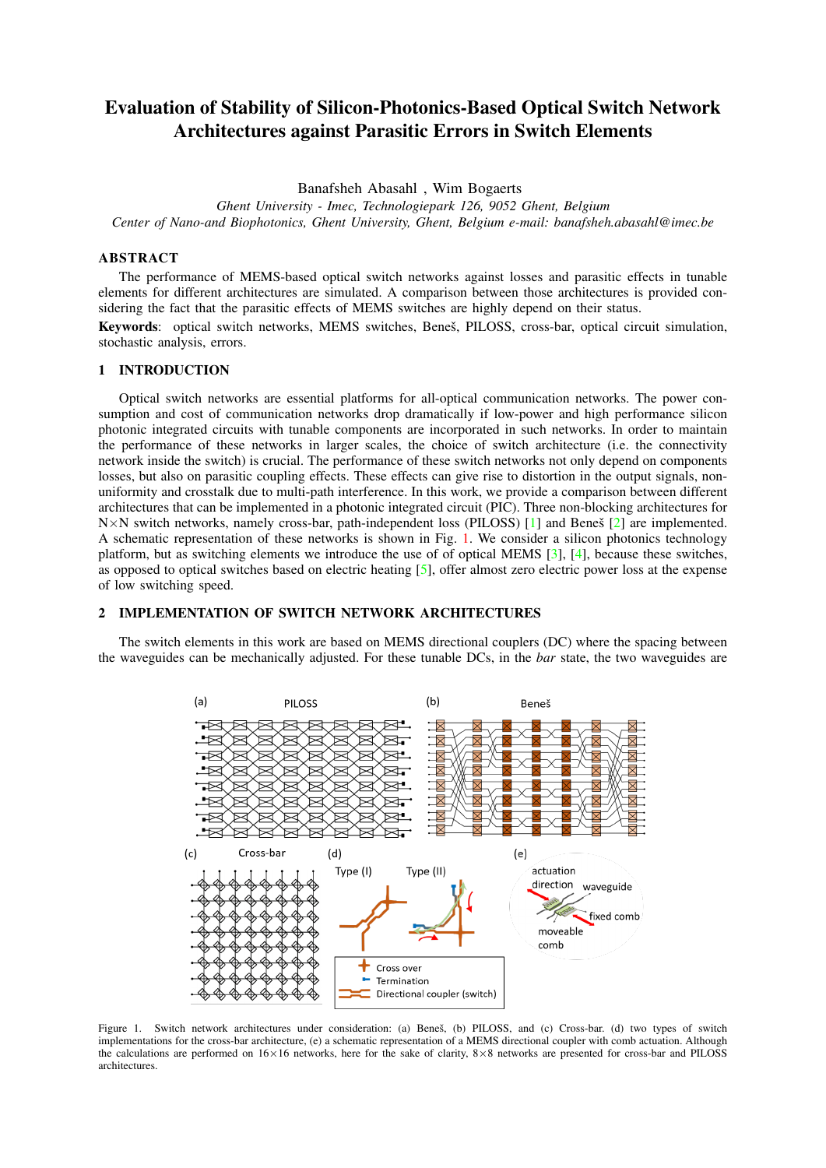# Evaluation of Stability of Silicon-Photonics-Based Optical Switch Network Architectures against Parasitic Errors in Switch Elements

Banafsheh Abasahl , Wim Bogaerts

*Ghent University - Imec, Technologiepark 126, 9052 Ghent, Belgium Center of Nano-and Biophotonics, Ghent University, Ghent, Belgium e-mail: banafsheh.abasahl@imec.be*

## ABSTRACT

The performance of MEMS-based optical switch networks against losses and parasitic effects in tunable elements for different architectures are simulated. A comparison between those architectures is provided considering the fact that the parasitic effects of MEMS switches are highly depend on their status.

Keywords: optical switch networks, MEMS switches, Beneš, PILOSS, cross-bar, optical circuit simulation, stochastic analysis, errors.

#### 1 INTRODUCTION

Optical switch networks are essential platforms for all-optical communication networks. The power consumption and cost of communication networks drop dramatically if low-power and high performance silicon photonic integrated circuits with tunable components are incorporated in such networks. In order to maintain the performance of these networks in larger scales, the choice of switch architecture (i.e. the connectivity network inside the switch) is crucial. The performance of these switch networks not only depend on components losses, but also on parasitic coupling effects. These effects can give rise to distortion in the output signals, nonuniformity and crosstalk due to multi-path interference. In this work, we provide a comparison between different architectures that can be implemented in a photonic integrated circuit (PIC). Three non-blocking architectures for  $N \times N$  switch networks, namely cross-bar, path-independent loss (PILOSS) [\[1\]](#page-2-0) and Benes [[2\]](#page-2-1) are implemented. A schematic representation of these networks is shown in Fig. [1.](#page-0-0) We consider a silicon photonics technology platform, but as switching elements we introduce the use of of optical MEMS [\[3\]](#page-2-2), [\[4\]](#page-2-3), because these switches, as opposed to optical switches based on electric heating  $[5]$ , offer almost zero electric power loss at the expense of low switching speed.

## 2 IMPLEMENTATION OF SWITCH NETWORK ARCHITECTURES

The switch elements in this work are based on MEMS directional couplers (DC) where the spacing between the waveguides can be mechanically adjusted. For these tunable DCs, in the *bar* state, the two waveguides are



<span id="page-0-0"></span>Figure 1. Switch network architectures under consideration: (a) Benes, (b) PILOSS, and (c) Cross-bar. (d) two types of switch implementations for the cross-bar architecture, (e) a schematic representation of a MEMS directional coupler with comb actuation. Although the calculations are performed on 16×16 networks, here for the sake of clarity, 8×8 networks are presented for cross-bar and PILOSS architectures.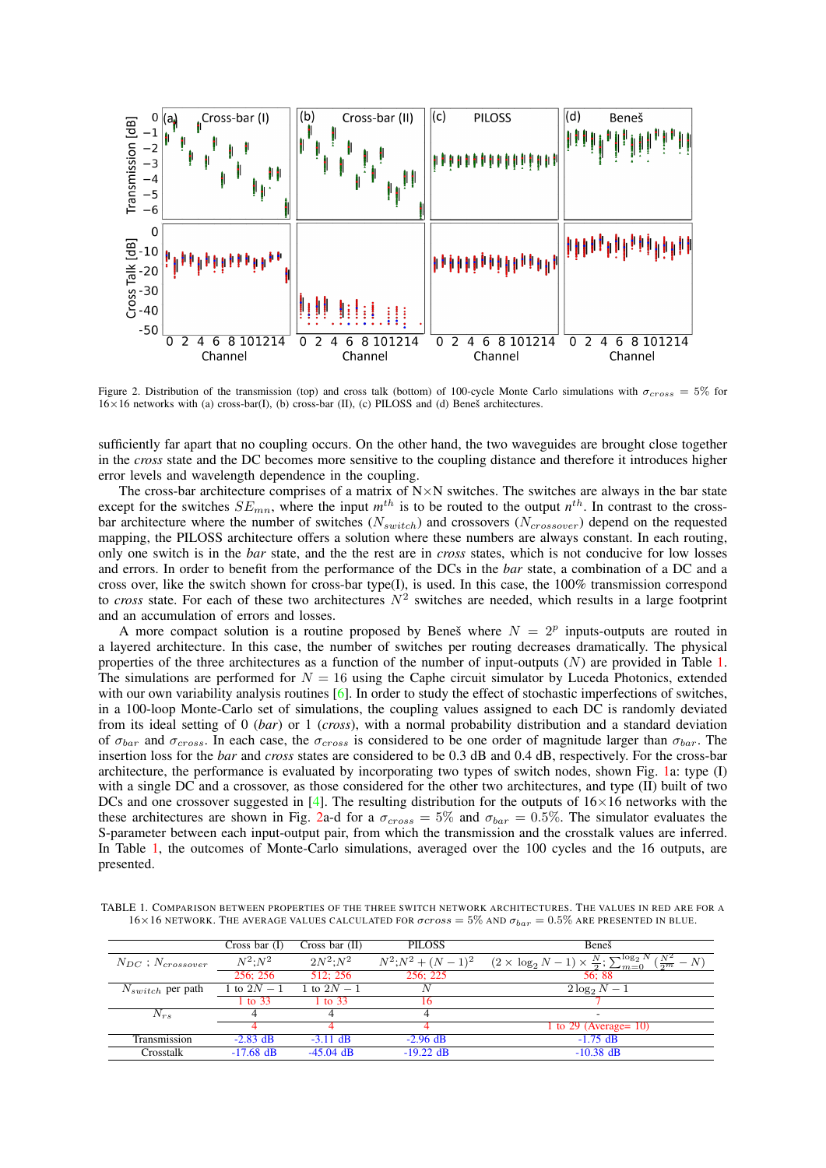

<span id="page-1-1"></span>Figure 2. Distribution of the transmission (top) and cross talk (bottom) of 100-cycle Monte Carlo simulations with  $\sigma_{cross} = 5\%$  for  $16\times16$  networks with (a) cross-bar(I), (b) cross-bar (II), (c) PILOSS and (d) Benes architectures.

sufficiently far apart that no coupling occurs. On the other hand, the two waveguides are brought close together in the *cross* state and the DC becomes more sensitive to the coupling distance and therefore it introduces higher error levels and wavelength dependence in the coupling.

The cross-bar architecture comprises of a matrix of  $N \times N$  switches. The switches are always in the bar state except for the switches  $SE_{mn}$ , where the input  $m^{th}$  is to be routed to the output  $n^{th}$ . In contrast to the crossbar architecture where the number of switches ( $N_{switch}$ ) and crossovers ( $N_{crossover}$ ) depend on the requested mapping, the PILOSS architecture offers a solution where these numbers are always constant. In each routing, only one switch is in the *bar* state, and the the rest are in *cross* states, which is not conducive for low losses and errors. In order to benefit from the performance of the DCs in the *bar* state, a combination of a DC and a cross over, like the switch shown for cross-bar type(I), is used. In this case, the 100% transmission correspond to *cross* state. For each of these two architectures  $N^2$  switches are needed, which results in a large footprint and an accumulation of errors and losses.

A more compact solution is a routine proposed by Benes where  $N = 2^p$  inputs-outputs are routed in a layered architecture. In this case, the number of switches per routing decreases dramatically. The physical properties of the three architectures as a function of the number of input-outputs  $(N)$  are provided in Table [1.](#page-1-0) The simulations are performed for  $N = 16$  using the Caphe circuit simulator by Luceda Photonics, extended with our own variability analysis routines [\[6\]](#page-2-5). In order to study the effect of stochastic imperfections of switches, in a 100-loop Monte-Carlo set of simulations, the coupling values assigned to each DC is randomly deviated from its ideal setting of 0 (*bar*) or 1 (*cross*), with a normal probability distribution and a standard deviation of  $\sigma_{bar}$  and  $\sigma_{cross}$ . In each case, the  $\sigma_{cross}$  is considered to be one order of magnitude larger than  $\sigma_{bar}$ . The insertion loss for the *bar* and *cross* states are considered to be 0.3 dB and 0.4 dB, respectively. For the cross-bar architecture, the performance is evaluated by incorporating two types of switch nodes, shown Fig. [1a](#page-0-0): type (I) with a single DC and a crossover, as those considered for the other two architectures, and type (II) built of two DCs and one crossover suggested in [\[4\]](#page-2-3). The resulting distribution for the outputs of  $16\times16$  networks with the these architectures are shown in Fig. [2a](#page-1-1)-d for a  $\sigma_{cross} = 5\%$  and  $\sigma_{bar} = 0.5\%$ . The simulator evaluates the S-parameter between each input-output pair, from which the transmission and the crosstalk values are inferred. In Table [1,](#page-1-0) the outcomes of Monte-Carlo simulations, averaged over the 100 cycles and the 16 outputs, are presented.

<span id="page-1-0"></span>TABLE 1. COMPARISON BETWEEN PROPERTIES OF THE THREE SWITCH NETWORK ARCHITECTURES. THE VALUES IN RED ARE FOR A  $16\times16$  NETWORK. THE AVERAGE VALUES CALCULATED FOR  $\sigma cross = 5\%$  AND  $\sigma_{bar} = 0.5\%$  ARE PRESENTED IN BLUE.

|                            | Cross bar $(I)$ | Cross bar $(II)$ | <b>PILOSS</b>        | Beneš                                                                                     |
|----------------------------|-----------------|------------------|----------------------|-------------------------------------------------------------------------------------------|
| $N_{DC}$ ; $N_{crossover}$ | $N^2 \cdot N^2$ | $2N^2$ : $N^2$   | $N^2; N^2 + (N-1)^2$ | $(2 \times \log_2 N - 1) \times \frac{N}{2}; \sum_{m=0}^{\log_2 N} (\frac{N^2}{2^m} - N)$ |
|                            | 256: 256        | 512: 256         | 256: 225             | 56:88                                                                                     |
| $N_{switch}$ per path      | 1 to $2N - 1$   | 1 to $2N - 1$    |                      | $2\log_2 N-1$                                                                             |
|                            | 1 to 33         | 1 to $33$        |                      |                                                                                           |
| $N_{rs}$                   |                 |                  |                      | $\overline{\phantom{a}}$                                                                  |
|                            |                 |                  |                      | 1 to 29 (Average = $10$ )                                                                 |
| Transmission               | $-2.83$ dB      | $-3.11$ dB       | $-2.96$ dB           | $-1.75$ dB                                                                                |
| Crosstalk                  | $-17.68$ dB     | $-45.04$ dB      | $-19.22$ dB          | $-10.38$ dB                                                                               |